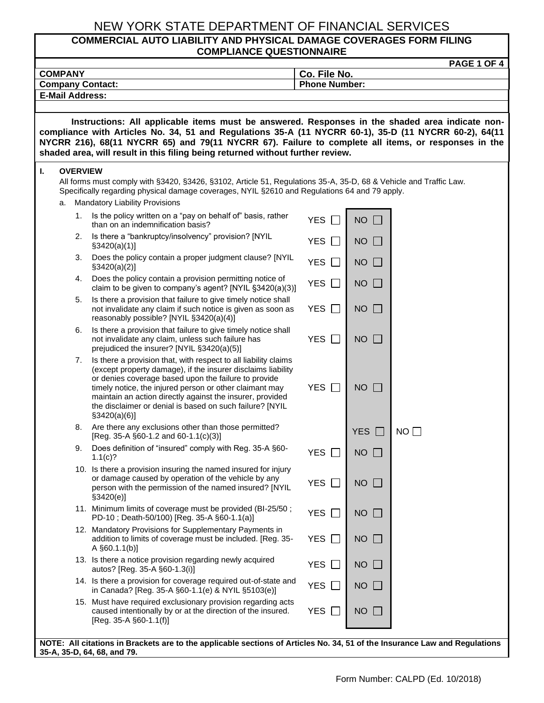### **COMMERCIAL AUTO LIABILITY AND PHYSICAL DAMAGE COVERAGES FORM FILING COMPLIANCE QUESTIONNAIRE**

|                                           | PAGE 1 OF 4                                                                                                                                                                                                                                                                                                     |                                                                                                                                                                                                                                                                                                                                                                                               |                            |                    |                 |  |
|-------------------------------------------|-----------------------------------------------------------------------------------------------------------------------------------------------------------------------------------------------------------------------------------------------------------------------------------------------------------------|-----------------------------------------------------------------------------------------------------------------------------------------------------------------------------------------------------------------------------------------------------------------------------------------------------------------------------------------------------------------------------------------------|----------------------------|--------------------|-----------------|--|
| <b>COMPANY</b><br><b>Company Contact:</b> |                                                                                                                                                                                                                                                                                                                 |                                                                                                                                                                                                                                                                                                                                                                                               |                            | Co. File No.       |                 |  |
|                                           | <b>E-Mail Address:</b>                                                                                                                                                                                                                                                                                          |                                                                                                                                                                                                                                                                                                                                                                                               | <b>Phone Number:</b>       |                    |                 |  |
|                                           |                                                                                                                                                                                                                                                                                                                 |                                                                                                                                                                                                                                                                                                                                                                                               |                            |                    |                 |  |
|                                           | Instructions: All applicable items must be answered. Responses in the shaded area indicate non-<br>compliance with Articles No. 34, 51 and Regulations 35-A (11 NYCRR 60-1), 35-D (11 NYCRR 60-2), 64(11<br>NYCRR 216), 68(11 NYCRR 65) and 79(11 NYCRR 67). Failure to complete all items, or responses in the |                                                                                                                                                                                                                                                                                                                                                                                               |                            |                    |                 |  |
|                                           |                                                                                                                                                                                                                                                                                                                 | shaded area, will result in this filing being returned without further review.                                                                                                                                                                                                                                                                                                                |                            |                    |                 |  |
| ı.                                        | <b>OVERVIEW</b><br>All forms must comply with §3420, §3426, §3102, Article 51, Regulations 35-A, 35-D, 68 & Vehicle and Traffic Law.<br>Specifically regarding physical damage coverages, NYIL §2610 and Regulations 64 and 79 apply.<br><b>Mandatory Liability Provisions</b><br>a.                            |                                                                                                                                                                                                                                                                                                                                                                                               |                            |                    |                 |  |
|                                           | 1.                                                                                                                                                                                                                                                                                                              | Is the policy written on a "pay on behalf of" basis, rather<br>than on an indemnification basis?                                                                                                                                                                                                                                                                                              | <b>YES</b>                 | $NO$ $\Box$        |                 |  |
|                                           | 2.                                                                                                                                                                                                                                                                                                              | Is there a "bankruptcy/insolvency" provision? [NYIL<br>$\S3420(a)(1)$                                                                                                                                                                                                                                                                                                                         | <b>YES</b><br>$\mathbf{L}$ | NO<br>$\mathbf{L}$ |                 |  |
|                                           | 3.                                                                                                                                                                                                                                                                                                              | Does the policy contain a proper judgment clause? [NYIL<br>$\S3420(a)(2)$ ]                                                                                                                                                                                                                                                                                                                   | <b>YES</b><br>$\Box$       | NO<br>$\mathbf{L}$ |                 |  |
|                                           | 4.                                                                                                                                                                                                                                                                                                              | Does the policy contain a provision permitting notice of<br>claim to be given to company's agent? [NYIL §3420(a)(3)]                                                                                                                                                                                                                                                                          | <b>YES</b><br>$\perp$      | $NO$ $\Box$        |                 |  |
|                                           | 5.                                                                                                                                                                                                                                                                                                              | Is there a provision that failure to give timely notice shall<br>not invalidate any claim if such notice is given as soon as<br>reasonably possible? [NYIL §3420(a)(4)]                                                                                                                                                                                                                       | YES $\Box$                 | $NO \Box$          |                 |  |
|                                           | 6.                                                                                                                                                                                                                                                                                                              | Is there a provision that failure to give timely notice shall<br>not invalidate any claim, unless such failure has<br>prejudiced the insurer? [NYIL §3420(a)(5)]                                                                                                                                                                                                                              | <b>YES</b><br>$\mathbf{L}$ | NO<br>$\mathbf{L}$ |                 |  |
|                                           | 7.                                                                                                                                                                                                                                                                                                              | Is there a provision that, with respect to all liability claims<br>(except property damage), if the insurer disclaims liability<br>or denies coverage based upon the failure to provide<br>timely notice, the injured person or other claimant may<br>maintain an action directly against the insurer, provided<br>the disclaimer or denial is based on such failure? [NYIL<br>$\S3420(a)(6)$ | <b>YES</b>                 | NO<br><b>I</b>     |                 |  |
|                                           |                                                                                                                                                                                                                                                                                                                 | 8. Are there any exclusions other than those permitted?<br>[Reg. 35-A §60-1.2 and 60-1.1(c)(3)]                                                                                                                                                                                                                                                                                               |                            | <b>YES</b>         | NO <sub>1</sub> |  |
|                                           | 9.                                                                                                                                                                                                                                                                                                              | Does definition of "insured" comply with Reg. 35-A §60-<br>$1.1(c)$ ?                                                                                                                                                                                                                                                                                                                         | <b>YES</b>                 | NO                 |                 |  |
|                                           |                                                                                                                                                                                                                                                                                                                 | 10. Is there a provision insuring the named insured for injury<br>or damage caused by operation of the vehicle by any<br>person with the permission of the named insured? [NYIL<br>\$3420(e)]                                                                                                                                                                                                 | <b>YES</b>                 | NO<br>$\mathbf{L}$ |                 |  |
|                                           |                                                                                                                                                                                                                                                                                                                 | 11. Minimum limits of coverage must be provided (BI-25/50;<br>PD-10; Death-50/100) [Reg. 35-A §60-1.1(a)]                                                                                                                                                                                                                                                                                     | <b>YES</b>                 | NO<br>$\mathbf{L}$ |                 |  |
|                                           |                                                                                                                                                                                                                                                                                                                 | 12. Mandatory Provisions for Supplementary Payments in<br>addition to limits of coverage must be included. [Reg. 35-<br>A $§60.1.1(b)]$                                                                                                                                                                                                                                                       | <b>YES</b>                 | $NO$ $\Box$        |                 |  |
|                                           |                                                                                                                                                                                                                                                                                                                 | 13. Is there a notice provision regarding newly acquired<br>autos? [Reg. 35-A §60-1.3(i)]                                                                                                                                                                                                                                                                                                     | <b>YES</b>                 | $NO$ $\Box$        |                 |  |
|                                           |                                                                                                                                                                                                                                                                                                                 | 14. Is there a provision for coverage required out-of-state and<br>in Canada? [Reg. 35-A §60-1.1(e) & NYIL §5103(e)]                                                                                                                                                                                                                                                                          | <b>YES</b><br>$\mathbf{L}$ | $NO$ $\Box$        |                 |  |
|                                           |                                                                                                                                                                                                                                                                                                                 | 15. Must have required exclusionary provision regarding acts<br>caused intentionally by or at the direction of the insured.<br>$[Reg. 35-A §60-1.1(f)]$                                                                                                                                                                                                                                       | <b>YES</b>                 | NO.                |                 |  |
|                                           |                                                                                                                                                                                                                                                                                                                 | NOTE: All citations in Brackets are to the applicable sections of Articles No. 34, 51 of the Insurance Law and Regulations                                                                                                                                                                                                                                                                    |                            |                    |                 |  |

**NOTE: All citations in Brackets are to the applicable sections of Articles No. 34, 51 of the Insurance Law and Regulations 35-A, 35-D, 64, 68, and 79.**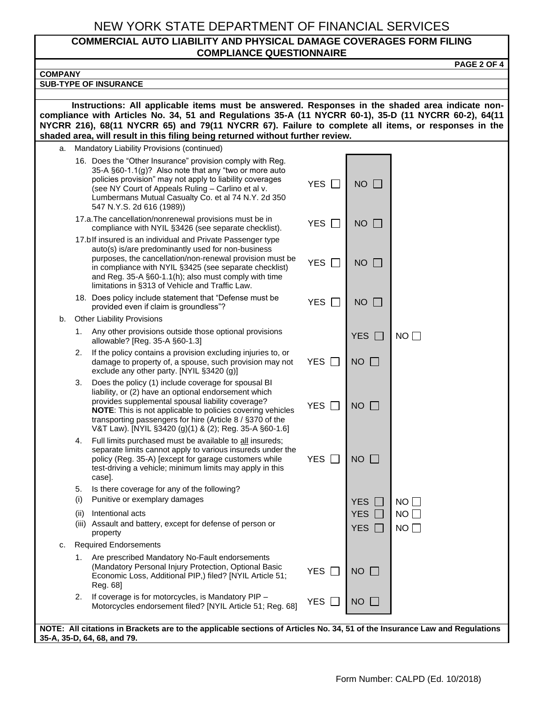#### **COMMERCIAL AUTO LIABILITY AND PHYSICAL DAMAGE COVERAGES FORM FILING COMPLIANCE QUESTIONNAIRE**

| <b>PAGE 2 OF 4</b>                                                                                                                                                                                                                                                                                                                                                                                |                                        |                           |          |  |  |
|---------------------------------------------------------------------------------------------------------------------------------------------------------------------------------------------------------------------------------------------------------------------------------------------------------------------------------------------------------------------------------------------------|----------------------------------------|---------------------------|----------|--|--|
| <b>COMPANY</b>                                                                                                                                                                                                                                                                                                                                                                                    |                                        |                           |          |  |  |
| <b>SUB-TYPE OF INSURANCE</b>                                                                                                                                                                                                                                                                                                                                                                      |                                        |                           |          |  |  |
| Instructions: All applicable items must be answered. Responses in the shaded area indicate non-<br>compliance with Articles No. 34, 51 and Regulations 35-A (11 NYCRR 60-1), 35-D (11 NYCRR 60-2), 64(11<br>NYCRR 216), 68(11 NYCRR 65) and 79(11 NYCRR 67). Failure to complete all items, or responses in the<br>shaded area, will result in this filing being returned without further review. |                                        |                           |          |  |  |
| Mandatory Liability Provisions (continued)<br>а.                                                                                                                                                                                                                                                                                                                                                  |                                        |                           |          |  |  |
| 16. Does the "Other Insurance" provision comply with Reg.<br>35-A §60-1.1(g)? Also note that any "two or more auto<br>policies provision" may not apply to liability coverages<br>(see NY Court of Appeals Ruling - Carlino et al v.<br>Lumbermans Mutual Casualty Co. et al 74 N.Y. 2d 350<br>547 N.Y.S. 2d 616 (1989))                                                                          | <b>YES</b><br>$\mathbf{L}$             | $NO$ $\Box$               |          |  |  |
| 17.a. The cancellation/nonrenewal provisions must be in<br>compliance with NYIL §3426 (see separate checklist).                                                                                                                                                                                                                                                                                   | <b>YES</b><br>$\mathbf{L}$             | $NO$ $\Box$               |          |  |  |
| 17.blf insured is an individual and Private Passenger type<br>auto(s) is/are predominantly used for non-business<br>purposes, the cancellation/non-renewal provision must be<br>in compliance with NYIL §3425 (see separate checklist)<br>and Reg. 35-A §60-1.1(h); also must comply with time<br>limitations in §313 of Vehicle and Traffic Law.                                                 | <b>YES</b><br>l.                       | <b>NO</b><br>$\Box$       |          |  |  |
| 18. Does policy include statement that "Defense must be<br>provided even if claim is groundless"?                                                                                                                                                                                                                                                                                                 | <b>YES</b><br>$\mathbf{L}$             | $NO$ $\Box$               |          |  |  |
| <b>Other Liability Provisions</b><br>b.                                                                                                                                                                                                                                                                                                                                                           |                                        |                           |          |  |  |
| Any other provisions outside those optional provisions<br>1.<br>allowable? [Reg. 35-A §60-1.3]                                                                                                                                                                                                                                                                                                    |                                        | <b>YES</b>                | NO       |  |  |
| If the policy contains a provision excluding injuries to, or<br>2.<br>damage to property of, a spouse, such provision may not<br>exclude any other party. [NYIL §3420 (g)]                                                                                                                                                                                                                        | <b>YES</b><br>$\overline{\phantom{a}}$ | $NO$ $\Box$               |          |  |  |
| 3.<br>Does the policy (1) include coverage for spousal BI<br>liability, or (2) have an optional endorsement which<br>provides supplemental spousal liability coverage?<br>NOTE: This is not applicable to policies covering vehicles<br>transporting passengers for hire (Article 8 / §370 of the<br>V&T Law). [NYIL §3420 (g)(1) & (2); Reg. 35-A §60-1.6]                                       | <b>YES</b><br>$\Box$                   | <b>NO</b><br>$\mathbf{1}$ |          |  |  |
| Full limits purchased must be available to all insureds;<br>4.<br>separate limits cannot apply to various insureds under the<br>policy (Reg. 35-A) [except for garage customers while<br>test-driving a vehicle; minimum limits may apply in this<br>case].                                                                                                                                       | <b>YES</b>                             | $NO$ $\Box$               |          |  |  |
| Is there coverage for any of the following?<br>5.                                                                                                                                                                                                                                                                                                                                                 |                                        |                           |          |  |  |
| (i)<br>Punitive or exemplary damages                                                                                                                                                                                                                                                                                                                                                              |                                        | <b>YES</b>                | NO       |  |  |
| Intentional acts<br>(ii)<br>(iii) Assault and battery, except for defense of person or<br>property                                                                                                                                                                                                                                                                                                |                                        | <b>YES</b><br>YES [       | NO<br>NO |  |  |
| <b>Required Endorsements</b><br>c.                                                                                                                                                                                                                                                                                                                                                                |                                        |                           |          |  |  |
| Are prescribed Mandatory No-Fault endorsements<br>1.<br>(Mandatory Personal Injury Protection, Optional Basic<br>Economic Loss, Additional PIP,) filed? [NYIL Article 51;<br>Reg. 68]                                                                                                                                                                                                             | <b>YES</b>                             | <b>NO</b><br>$\mathbf{L}$ |          |  |  |
| If coverage is for motorcycles, is Mandatory PIP -<br>2.<br>Motorcycles endorsement filed? [NYIL Article 51; Reg. 68]                                                                                                                                                                                                                                                                             | <b>YES</b>                             | <b>NO</b>                 |          |  |  |
| NOTE: All citations in Brackets are to the applicable sections of Articles No. 34, 51 of the Insurance Law and Regulations<br>35-A, 35-D, 64, 68, and 79.                                                                                                                                                                                                                                         |                                        |                           |          |  |  |

**35-A, 35-D, 64, 68, and 79.**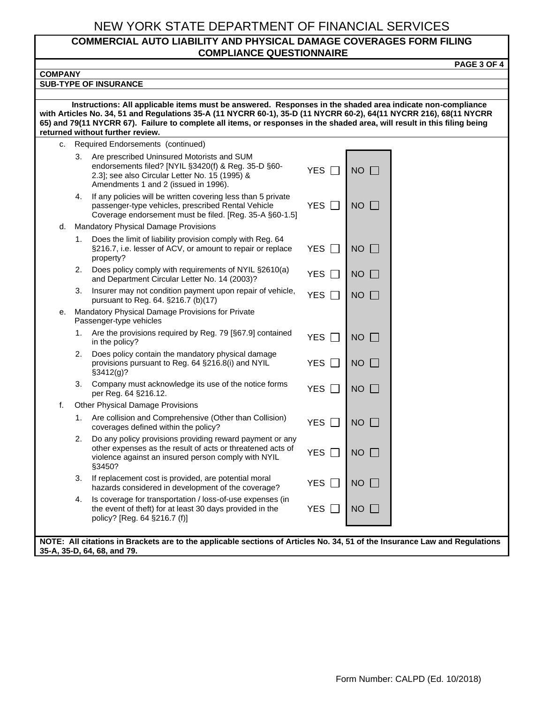#### **COMMERCIAL AUTO LIABILITY AND PHYSICAL DAMAGE COVERAGES FORM FILING COMPLIANCE QUESTIONNAIRE**

**PAGE 3 OF 4**

| <b>COMPANY</b>                                                                                                                                                                                                                                                                                                                                                                                   |                                                                                                                                                                                                   |                                 |                             |  |  |
|--------------------------------------------------------------------------------------------------------------------------------------------------------------------------------------------------------------------------------------------------------------------------------------------------------------------------------------------------------------------------------------------------|---------------------------------------------------------------------------------------------------------------------------------------------------------------------------------------------------|---------------------------------|-----------------------------|--|--|
| <b>SUB-TYPE OF INSURANCE</b>                                                                                                                                                                                                                                                                                                                                                                     |                                                                                                                                                                                                   |                                 |                             |  |  |
|                                                                                                                                                                                                                                                                                                                                                                                                  |                                                                                                                                                                                                   |                                 |                             |  |  |
| Instructions: All applicable items must be answered. Responses in the shaded area indicate non-compliance<br>with Articles No. 34, 51 and Regulations 35-A (11 NYCRR 60-1), 35-D (11 NYCRR 60-2), 64(11 NYCRR 216), 68(11 NYCRR<br>65) and 79(11 NYCRR 67). Failure to complete all items, or responses in the shaded area, will result in this filing being<br>returned without further review. |                                                                                                                                                                                                   |                                 |                             |  |  |
| c.                                                                                                                                                                                                                                                                                                                                                                                               | Required Endorsements (continued)                                                                                                                                                                 |                                 |                             |  |  |
|                                                                                                                                                                                                                                                                                                                                                                                                  | Are prescribed Uninsured Motorists and SUM<br>3.<br>endorsements filed? [NYIL §3420(f) & Reg. 35-D §60-<br>2.3]; see also Circular Letter No. 15 (1995) &<br>Amendments 1 and 2 (issued in 1996). | <b>YES</b>                      | $NO$ $\Box$                 |  |  |
|                                                                                                                                                                                                                                                                                                                                                                                                  | If any policies will be written covering less than 5 private<br>4.<br>passenger-type vehicles, prescribed Rental Vehicle<br>Coverage endorsement must be filed. [Reg. 35-A §60-1.5]               | <b>YES</b><br>$\Box$            | <b>NO</b><br>$\mathbf{1}$   |  |  |
| d.                                                                                                                                                                                                                                                                                                                                                                                               | <b>Mandatory Physical Damage Provisions</b>                                                                                                                                                       |                                 |                             |  |  |
|                                                                                                                                                                                                                                                                                                                                                                                                  | Does the limit of liability provision comply with Reg. 64<br>1.<br>§216.7, i.e. lesser of ACV, or amount to repair or replace<br>property?                                                        | <b>YES</b><br>$\Box$            | <b>NO</b><br>$\mathbf{1}$   |  |  |
|                                                                                                                                                                                                                                                                                                                                                                                                  | Does policy comply with requirements of NYIL §2610(a)<br>2.<br>and Department Circular Letter No. 14 (2003)?                                                                                      | <b>YES</b><br>$\Box$            | <b>NO</b><br>$\mathbf{L}$   |  |  |
|                                                                                                                                                                                                                                                                                                                                                                                                  | Insurer may not condition payment upon repair of vehicle,<br>3.<br>pursuant to Reg. 64. §216.7 (b)(17)                                                                                            | <b>YES</b><br>$\vert \ \ \vert$ | <b>NO</b><br>$\perp$        |  |  |
| е.                                                                                                                                                                                                                                                                                                                                                                                               | Mandatory Physical Damage Provisions for Private<br>Passenger-type vehicles                                                                                                                       |                                 |                             |  |  |
|                                                                                                                                                                                                                                                                                                                                                                                                  | Are the provisions required by Reg. 79 [§67.9] contained<br>1.<br>in the policy?                                                                                                                  | <b>YES</b><br>$\mathsf{L}$      | <b>NO</b><br>$\mathbb{R}^n$ |  |  |
|                                                                                                                                                                                                                                                                                                                                                                                                  | 2.<br>Does policy contain the mandatory physical damage<br>provisions pursuant to Reg. 64 §216.8(i) and NYIL<br>§3412(g)?                                                                         | <b>YES</b><br>$\Box$            | NO                          |  |  |
|                                                                                                                                                                                                                                                                                                                                                                                                  | Company must acknowledge its use of the notice forms<br>3.<br>per Reg. 64 §216.12.                                                                                                                | <b>YES</b><br>$\mathbf{L}$      | <b>NO</b>                   |  |  |
| f.                                                                                                                                                                                                                                                                                                                                                                                               | <b>Other Physical Damage Provisions</b>                                                                                                                                                           |                                 |                             |  |  |
|                                                                                                                                                                                                                                                                                                                                                                                                  | Are collision and Comprehensive (Other than Collision)<br>1.<br>coverages defined within the policy?                                                                                              | <b>YES</b>                      | <b>NO</b><br>$\mathbf{I}$   |  |  |
|                                                                                                                                                                                                                                                                                                                                                                                                  | Do any policy provisions providing reward payment or any<br>2.<br>other expenses as the result of acts or threatened acts of<br>violence against an insured person comply with NYIL<br>§3450?     | <b>YES</b>                      | <b>NO</b>                   |  |  |
|                                                                                                                                                                                                                                                                                                                                                                                                  | If replacement cost is provided, are potential moral<br>3.<br>hazards considered in development of the coverage?                                                                                  | <b>YES</b>                      | $NO$ $\Box$                 |  |  |
|                                                                                                                                                                                                                                                                                                                                                                                                  | Is coverage for transportation / loss-of-use expenses (in<br>4.<br>the event of theft) for at least 30 days provided in the<br>policy? [Reg. 64 §216.7 (f)]                                       | <b>YES</b><br>$\perp$           | $NO$ $\Box$                 |  |  |
|                                                                                                                                                                                                                                                                                                                                                                                                  |                                                                                                                                                                                                   |                                 |                             |  |  |
| NOTE: All citations in Brackets are to the applicable sections of Articles No. 34, 51 of the Insurance Law and Regulations<br>35-A, 35-D, 64, 68, and 79.                                                                                                                                                                                                                                        |                                                                                                                                                                                                   |                                 |                             |  |  |